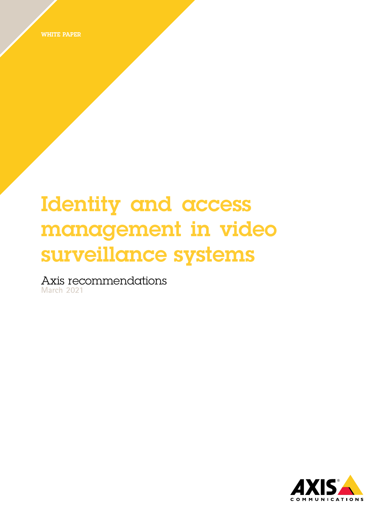WHITE PAPER

# Identity and access management in video surveillance systems

Axis recommendations **March 2021**

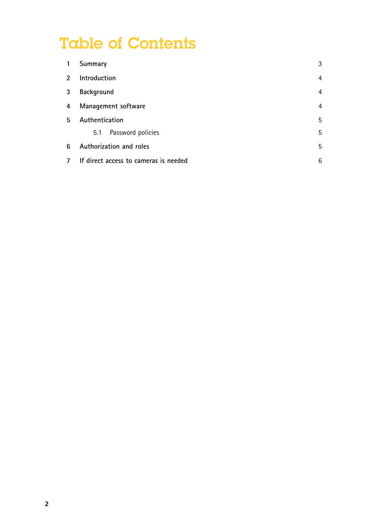## Table of Contents

| 1              | Summary                               | 3 |
|----------------|---------------------------------------|---|
| $\mathfrak{p}$ | Introduction                          | 4 |
| 3              | <b>Background</b>                     | 4 |
| 4              | Management software                   | 4 |
| 5              | Authentication                        | 5 |
|                | Password policies<br>5.1              | 5 |
| 6              | Authorization and roles               | 5 |
|                | If direct access to cameras is needed | 6 |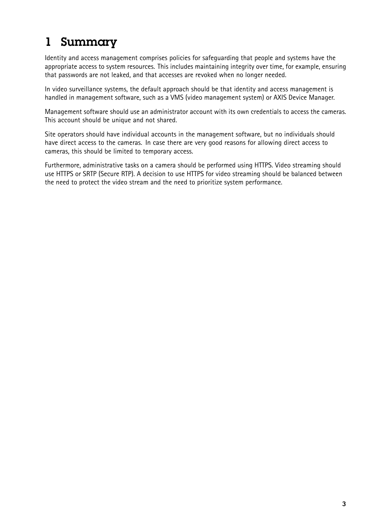### <span id="page-2-0"></span>1 Summary

Identity and access management comprises policies for safeguarding that people and systems have the appropriate access to system resources. This includes maintaining integrity over time, for example, ensuring that passwords are not leaked, and that accesses are revoked when no longer needed.

In video surveillance systems, the default approach should be that identity and access management is handled in management software, such as <sup>a</sup> VMS (video management system) or AXIS Device Manager.

Management software should use an administrator account with its own credentials to access the cameras. This account should be unique and not shared.

Site operators should have individual accounts in the management software, but no individuals should have direct access to the cameras. In case there are very good reasons for allowing direct access to cameras, this should be limited to temporary access.

Furthermore, administrative tasks on <sup>a</sup> camera should be performed using HTTPS. Video streaming should use HTTPS or SRTP (Secure RTP). A decision to use HTTPS for video streaming should be balanced between the need to protect the video stream and the need to prioritize system performance.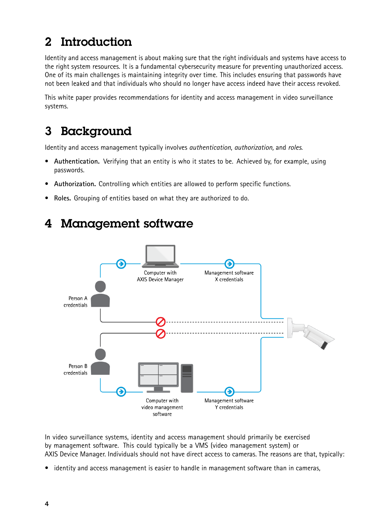#### <span id="page-3-0"></span>2 Introduction

Identity and access management is about making sure that the right individuals and systems have access to the right system resources. It is <sup>a</sup> fundamental cybersecurity measure for preventing unauthorized access. One of its main challenges is maintaining integrity over time. This includes ensuring that passwords have not been leaked and that individuals who should no longer have access indeed have their access revoked.

This white paper provides recommendations for identity and access management in video surveillance systems.

#### 3 Background

Identity and access management typically involves *authentication*, *authorization,* and *roles*.

- **Authentication.** Verifying that an entity is who it states to be. Achieved by, for example, using passwords.
- •**Authorization.** Controlling which entities are allowed to perform specific functions.
- •**Roles.** Grouping of entities based on what they are authorized to do.



#### 4 Management software

In video surveillance systems, identity and access management should primarily be exercised by management software. This could typically be <sup>a</sup> VMS (video management system) or AXIS Device Manager. Individuals should not have direct access to cameras. The reasons are that, typically:

 $\bullet$ identity and access management is easier to handle in management software than in cameras,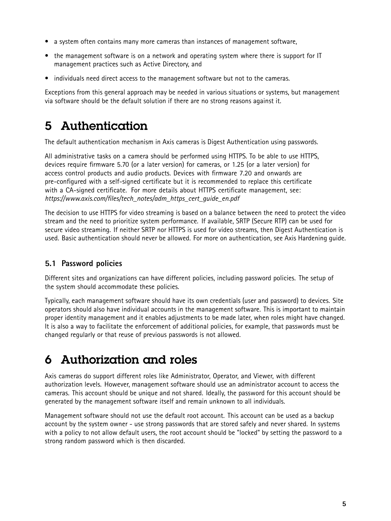- <span id="page-4-0"></span>• <sup>a</sup> system often contains many more cameras than instances of management software,
- the management software is on <sup>a</sup> network and operating system where there is support for IT management practices such as Active Directory, and
- individuals need direct access to the management software but not to the cameras.

Exceptions from this general approach may be needed in various situations or systems, but management via software should be the default solution if there are no strong reasons against it.

#### 5 Authentication

The default authentication mechanism in Axis cameras is Digest Authentication using passwords.

All administrative tasks on <sup>a</sup> camera should be performed using HTTPS. To be able to use HTTPS, devices require firmware 5.70 (or <sup>a</sup> later version) for cameras, or 1.25 (or <sup>a</sup> later version) for access control products and audio products. Devices with firmware 7.20 and onwards are pre-configured with <sup>a</sup> self-signed certificate but it is recommended to replace this certificate with <sup>a</sup> CA-signed certificate. For more details about HTTPS certificate management, see: *https://www.axis.com/files/tech\_notes/adm\_https\_cert\_guide\_en.pdf*

The decision to use HTTPS for video streaming is based on <sup>a</sup> balance between the need to protect the video stream and the need to prioritize system performance. If available, SRTP (Secure RTP) can be used for secure video streaming. If neither SRTP nor HTTPS is used for video streams, then Digest Authentication is used. Basic authentication should never be allowed. For more on authentication, see Axis Hardening guide.

#### **5.1 Password policies**

Different sites and organizations can have different policies, including password policies. The setup of the system should accommodate these policies.

Typically, each management software should have its own credentials (user and password) to devices. Site operators should also have individual accounts in the management software. This is important to maintain proper identity management and it enables adjustments to be made later, when roles might have changed. It is also <sup>a</sup> way to facilitate the enforcement of additional policies, for example, that passwords must be changed regularly or that reuse of previous passwords is not allowed.

#### 6 Authorization and roles

Axis cameras do support different roles like Administrator, Operator, and Viewer, with different authorization levels. However, management software should use an administrator account to access the cameras. This account should be unique and not shared. Ideally, the password for this account should be generated by the management software itself and remain unknown to all individuals.

Management software should not use the default root account. This account can be used as <sup>a</sup> backup account by the system owner - use strong passwords that are stored safely and never shared. In systems with <sup>a</sup> policy to not allow default users, the root account should be "locked" by setting the password to <sup>a</sup> strong random password which is then discarded.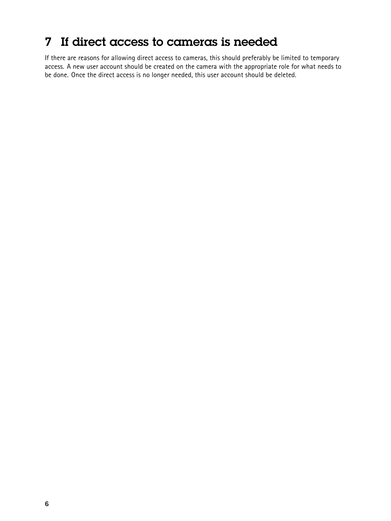#### <span id="page-5-0"></span>7 If direct access to cameras is needed

If there are reasons for allowing direct access to cameras, this should preferably be limited to temporary access. A new user account should be created on the camera with the appropriate role for what needs to be done. Once the direct access is no longer needed, this user account should be deleted.